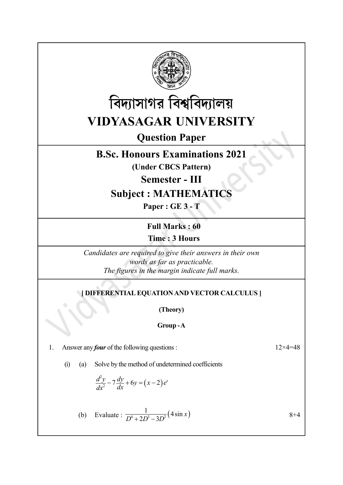



Question Paper

# B.Sc. Honours Examinations 2021

(Under CBCS Pattern)

Semester - III

# Subject : MATHEMATICS

Paper : GE 3 - T

Full Marks : 60 Time : 3 Hours

Candidates are required to give their answers in their own words as far as practicable. The figures in the margin indicate full marks. **Time : 3 Hours**<br>
didates are required to give their answers in their own<br>
words as far as practicable.<br>
The figures in the margin indicate full marks.<br> **THERENTIAL EQUATION AND VECTOR CALCULUS** ]<br>
(Theory)<br> **Group -A**<br>

# [ DIFFERENTIAL EQUATION AND VECTOR CALCULUS ]

(Theory)

Group - A

1. Answer any *four* of the following questions :  $12 \times 4 = 48$ 

(i) (a) Solve by the method of undetermined coefficients

$$
\frac{d^2y}{dx^2} - 7\frac{dy}{dx} + 6y = (x-2)e^x
$$

*The figures in the margin indicate full marks.*  
\n**[DIFFERENTIAL EQUATION AND VECTOR CALCULUS ]**  
\n**(Theory)**  
\n**Group-A**  
\n**er any *four* of the following questions :**  
\n(a) Solve by the method of undetermined coefficients  
\n
$$
\frac{d^2y}{dx^2} - 7\frac{dy}{dx} + 6y = (x-2)e^x
$$
\n(b) Evaluate : 
$$
\frac{1}{D^4 + 2D^3 - 3D^2}(4\sin x)
$$
\n
$$
8+4
$$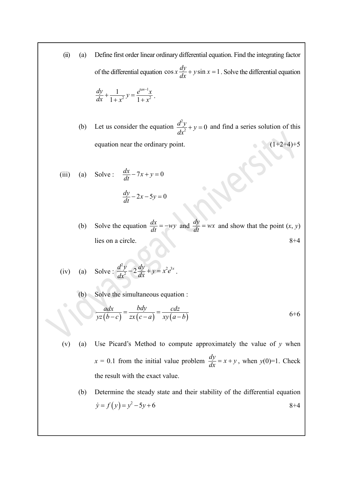- (ii) (a) Define first order linear ordinary differential equation. Find the integrating factor of the differential equation  $\cos x \frac{dy}{dx} + y \sin x = 1$ . Solve the differential equation  $\frac{dy}{dx} + \frac{1}{1+x^2} y = \frac{e^{tan-1}x}{1+x^2}.$  $+\frac{1}{1}y = \frac{e^{tan^{-1}}}{1}$  $\frac{1}{x+x^2}y = \frac{1}{1+x^2}$ 1  $\frac{1}{2}y = \frac{1}{1 + x^2}$  $\frac{1}{1+x^2}y = \frac{e^{tan-1}x}{1+x^2}$ . (b) Let us consider the equation  $\frac{d^2y}{dx^2} + y$  $dx^2$  $\frac{2y}{x^2} + y = 0$  and find a series solution of this equation near the ordinary point.  $(1+2+4)+5$ (iii) (a) Solve:  $\frac{dx}{dt} - 7x + y = 0$  $\frac{dy}{dt} - 2x - 5y = 0$ Ive:  $\frac{dx}{dt} - 7x + y = 0$ <br>  $\frac{dy}{dt} - 2x - 5y = 0$ <br>
Ive the equation  $\frac{dx}{dt} = -wy$  and  $\frac{dy}{dt} = wx$  and show that the point  $(x, y)$ <br>
son a circle.<br>
Son a circle.<br>  $8+4$ <br>
Ive:  $\frac{d^2y}{dx^2} - 2\frac{dy}{dx} + y = x^2e^{3x}$ .<br>
Ive the simultan
	- (b) Solve the equation  $\frac{dx}{dt} = -wy$  and  $\frac{dy}{dt} = wx$  and show that the point  $(x, y)$ lies on a circle. 8+4

(iv) (a) Solve : 
$$
\frac{d^2y}{dx^2} - 2\frac{dy}{dx} + y = x^2e^{3x}
$$
.

(b) Solve the simultaneous equation :

$$
\frac{adx}{yz(b-c)} = \frac{bdy}{zx(c-a)} = \frac{cdz}{xy(a-b)}
$$
6+6

- (v) (a) Use Picard's Method to compute approximately the value of  $\nu$  when  $x = 0.1$  from the initial value problem  $\frac{dy}{dx} = x + y$ , when  $y(0)=1$ . Check the result with the exact value.
	- (b) Determine the steady state and their stability of the differential equation  $\dot{y} = f(y) = y^2 - 5y + 6$  8+4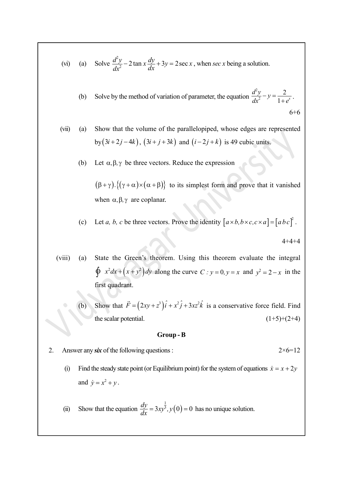(vi) (a) Solve 
$$
\frac{d^2y}{dx^2} - 2 \tan x \frac{dy}{dx} + 3y = 2 \sec x
$$
, when  $\sec x$  being a solution.

(b) Solve by the method of variation of parameter, the equation  $\frac{d^2y}{dx^2} - y = \frac{2}{1+e^x}$ .  $-y = \frac{2}{1+}$ 2 2 2  $\frac{2}{1+e^x}.$ 6+6

(vii) (a) Show that the volume of the parallelopiped, whose edges are represented by  $(3i + 2j - 4k)$ ,  $(3i + j + 3k)$  and  $(i - 2j + k)$  is 49 cubic units.

(b) Let  $\alpha, \beta, \gamma$  be three vectors. Reduce the expression

 $(\beta + \gamma) \cdot \{(\gamma + \alpha) \times (\alpha + \beta)\}\)$  to its simplest form and prove that it vanished when  $\alpha, \beta, \gamma$  are coplanar.

(c) Let a, b, c be three vectors. Prove the identity  $[a \times b, b \times c, c \times a] = [abc]^2$ .

 $4+4+4$ 

- (viii) (a) State the Green's theorem. Using this theorem evaluate the integral  $\oint x^2 dx + (x + y^2) dy$  along the curve  $C : y = 0, y = x$  and  $y^2 = 2 - x$  in the first quadrant. (a) State the Green's theorem. Using this theorem evaluate the integral<br>  $\oint x^2 dx + (x + y^2) dy$  along the curve  $C : y = 0, y = x$  and  $y^2 = 2 - x$  in the<br>
first quadrant.<br>
(b) Show that  $\vec{F} = (2xy + z^2)\hat{i} + x^2\hat{j} + 3xz^2\hat{k}$  is a cons
	- (b) Show that  $\vec{F} = (2xy + z^3)\hat{i} + x^2\hat{j} + 3xz^2\hat{k}$  is a co is a conservative force field. Find the scalar potential.  $(1+5)+(2+4)$

#### Group - B

2. Answer any six of the following questions :  $2 \times 6 = 12$ 

- (i) Find the steady state point (or Equilibrium point) for the system of equations  $\dot{x} = x + 2y$ and  $\dot{y} = x^2 + y$ .
- $\frac{dy}{dx} = 3xy^{\frac{1}{3}}$ ,  $y(0) = 0$  has no unique solution.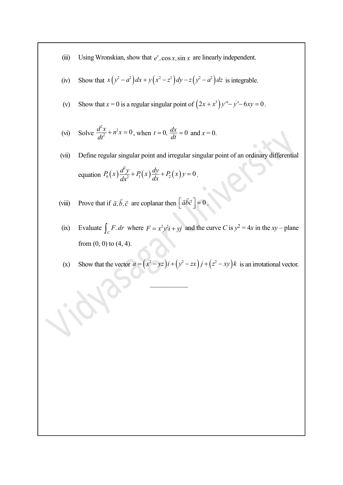- (iii) Using Wronskian, show that  $e^x$ , cos x, sin x are linearly independent.
- (iv) Show that  $x(y^2 a^2)dx + y(x^2 z^2)dy z(y^2 a^2)dz$  is integrable.
- (v) Show that  $x = 0$  is a regular singular point of  $(2x + x^3)y'' y' 6xy = 0$ .

(vi) Solve 
$$
\frac{d^2x}{dt^2} + n^2x = 0
$$
, when  $t = 0$ ,  $\frac{dx}{dt} = 0$  and  $x = 0$ .

- (vii) Define regular singular point and irregular singular point of an ordinary differential Using Wronskian, show that  $e^x$ , cos x, sin x are linearly independent.<br>
Show that  $x(y^2 - a^2) dx + y(x^2 - z^2) dy - z(y^2 - a^2) dz$  is integrable.<br>
Show that  $x = 0$  is a regular singular point of  $(2x + x^3)y'' - y' - 6xy = 0$ .<br>
Solve  $\frac{d^2x$  $P_0(x)\frac{d^2y}{dx^2} + P_1(x)\frac{dy}{dx} + P_2(x)y = 0.$
- (viii) Prove that if  $\vec{a}, \vec{b}, \vec{c}$  are coplanar then  $\left[\vec{a}\vec{b}\vec{c}\right] = 0$  $\vec{a}\vec{b}\vec{c}$  = 0.
- (ix) Evaluate  $\int_C F dr$  where  $F = x^2 y^2 i + y j$  and the curve C is  $y^2 = 4x$  in the  $xy$  plane from  $(0, 0)$  to  $(4, 4)$ .
- (x) Show that the vector  $a = (x^2 yz)i + (y^2 zx)j + (z^2 xy)k$  is an irrotational vector.

 $\frac{1}{2}$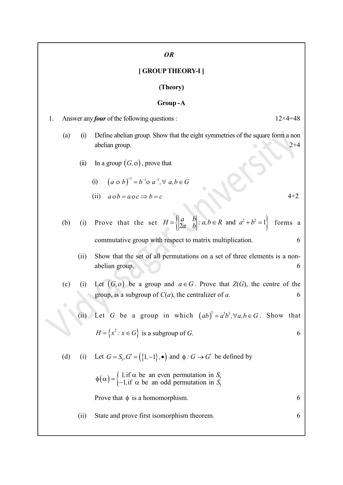## OR

#### [ GROUP THEORY-I ]

#### (Theory)

Group - A 1. Answer any *four* of the following questions :  $12 \times 4 = 48$ (a) (i) Define abelian group. Show that the eight symmetries of the square form a non abelian group. 2+4 (ii) In a group  $(G, o)$ , prove that (i)  $(a \circ b)^{-1} = b^{-1} \circ a^{-1}, \forall a, b \in G$ (ii)  $a \circ b = a \circ c \Rightarrow b = c$  4+2 (b) (i) Prove that the set  $H = \begin{cases} \begin{vmatrix} a & b \\ 2a & b \end{vmatrix} : a, b \in R$  and  $a^2 + b^2 = 1 \end{cases}$  forms a forms a commutative group with respect to matrix multiplication. 6 (ii) Show that the set of all permutations on a set of three elements is a nonabelian group. 6 (c) (i) Let  $(G, o)$  be a group and  $a \in G$ . Prove that  $Z(G)$ , the centre of the group, is a subgroup of  $C(a)$ , the centralizer of a. 6 (ii) Let G be a group in which  $(ab)^3 = a^3b^3$ ,  $\forall a, b \in G$ . Show that  $H = \{x^2 : x \in G\}$  is a subgroup of G. 6 (d) (i) Let  $G = S_3$ ,  $G' = (\{1, -1\})$ , •) and  $\phi : G \to G'$  be defined by  $(14a - b)$ <br>
hymmutative group with respect to matrix multiplication.<br>
how that the set of all permutations on a set of three elements is a not<br>
belian group.<br>
Let  $(G, o)$  be a group and  $a \in G$ . Prove that  $Z(G)$ , the centre , if  $\alpha$  be an even permutation in  $S_3$ , if  $\alpha$  be an odd permutation in  $S_3$  $\phi(\alpha) = \begin{cases} 1, \text{if } \alpha \text{ be an even permutation in } S_3 \\ -1, \text{if } \alpha \text{ be an odd permutation in } S_3 \end{cases}$ 3 1, if  $\alpha$  be an even permutation in  $\beta$ 1, if  $\alpha$  be an odd permutation in Prove that  $\phi$  is a homomorphism.  $\qquad \qquad 6$ (ii) State and prove first isomorphism theorem. 6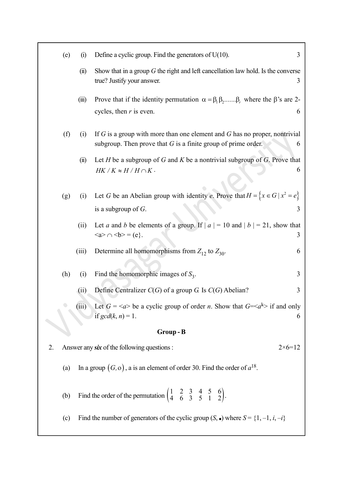|    | (e) | (i)   | Define a cyclic group. Find the generators of $U(10)$ .                                                                                           | 3 |
|----|-----|-------|---------------------------------------------------------------------------------------------------------------------------------------------------|---|
|    |     | (ii)  | Show that in a group $G$ the right and left cancellation law hold. Is the converse<br>true? Justify your answer.                                  |   |
|    |     | (iii) | Prove that if the identity permutation $\alpha = \beta_1 \beta_2$ $\beta_r$ , where the $\beta$ 's are 2-                                         |   |
|    |     |       | cycles, then $r$ is even.                                                                                                                         | 6 |
|    | (f) | (i)   | If $G$ is a group with more than one element and $G$ has no proper, nontrivial<br>subgroup. Then prove that $G$ is a finite group of prime order. | 6 |
|    |     | (ii)  | Let $H$ be a subgroup of $G$ and $K$ be a nontrivial subgroup of $G$ . Prove that                                                                 |   |
|    |     |       | $HK/K \approx H/H \cap K$ .                                                                                                                       | 6 |
|    | (g) | (1)   | Let G be an Abelian group with identity e. Prove that $H = \{x \in G   x^2 = e\}$                                                                 |   |
|    |     |       | is a subgroup of $G$ .                                                                                                                            | 3 |
|    |     | (ii)  | Let <i>a</i> and <i>b</i> be elements of a group. If $ a  = 10$ and $ b  = 21$ , show that<br>$\langle a \rangle \cap \langle b \rangle = (e).$   | 3 |
|    |     | (iii) | Determine all homomorphisms from $Z_{12}$ to $Z_{30}$ .                                                                                           | 6 |
|    | (h) | (i)   | Find the homomorphic images of $S_3$ .                                                                                                            | 3 |
|    |     | (ii)  | Define Centralizer $C(G)$ of a group G. Is $C(G)$ Abelian?                                                                                        | 3 |
|    |     |       | (iii) Let $G = \langle a \rangle$ be a cyclic group of order <i>n</i> . Show that $G = \langle a^k \rangle$ if and only<br>if $gcd(k, n) = 1$ .   | 6 |
|    |     |       | Group-B                                                                                                                                           |   |
| 2. |     |       | Answer any six of the following questions :<br>$2 \times 6 = 12$                                                                                  |   |
|    | (a) |       | In a group $(G, o)$ , a is an element of order 30. Find the order of $a^{18}$ .                                                                   |   |
|    | (b) |       | Find the order of the permutation $\begin{pmatrix} 1 & 2 & 3 & 4 & 5 & 6 \\ 4 & 6 & 3 & 5 & 1 & 2 \end{pmatrix}$ .                                |   |
|    | (c) |       | Find the number of generators of the cyclic group $(S, \bullet)$ where $S = \{1, -1, i, -i\}$                                                     |   |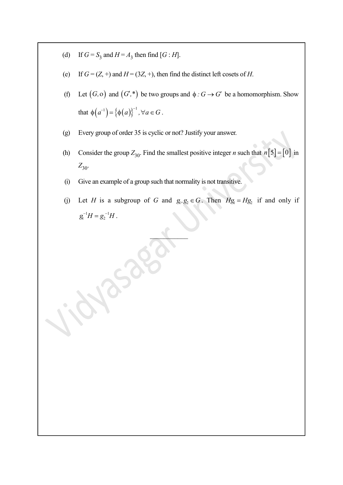- (d) If  $G = S_3$  and  $H = A_3$  then find  $[G:H]$ .
- (e) If  $G = (Z, +)$  and  $H = (3Z, +)$ , then find the distinct left cosets of H.
- (f) Let  $(G, o)$  and  $(G, *)$  be two groups and  $\phi : G \to G'$  be a homomorphism. Show If  $G = S_3$  and  $H = A_3$  then find  $[G:H]$ .<br>
If  $G = (Z, +)$  and  $H = (3Z, +)$ , then find the distinct left cosets of H.<br>
Let  $(G, o)$  and  $(G',^*)$  be two groups and  $\phi : G \rightarrow G'$  be a homomorphism. Show<br>
that  $\phi(\sigma^{-1}) = {\phi(\sigma)}_1^{1-\frac{1}{2}}$ ,  $\phi(a^{-1}) = {\phi(a)}^{-1}, \forall a \in G.$
- (g) Every group of order 35 is cyclic or not? Justify your answer.
- (h) Consider the group  $Z_{30}$ . Find the smallest positive integer *n* such that  $n[5] = [0]$  in  $Z_{30}$
- (i) Give an example of a group such that normality is not transitive.

50

(j) Let H is a subgroup of G and  $g_1, g_2 \in G$ . Then  $Hg_1 = Hg_2$  if and only if  $g_1^{-1}H = g_2^{-1}H$ .

 $\mathcal{L}=\mathcal{L}$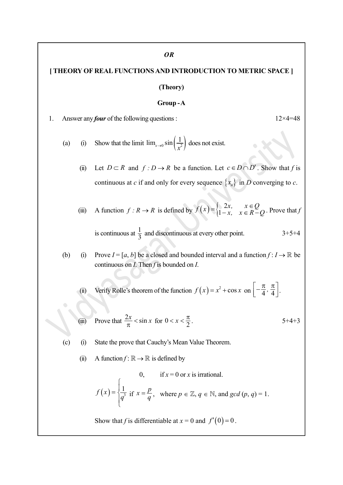## [ THEORY OF REAL FUNCTIONS AND INTRODUCTION TO METRIC SPACE ]

#### (Theory)

#### Group - A

1. Answer any *four* of the following questions :  $12 \times 4 = 48$ 

(a) (i) Show that the limit  $\lim_{x\to 0} \sin\left(\frac{1}{x^2}\right)$  does not exist.  $\lim_{x\to 0} \sin\left(\frac{1}{2}\right)$  does not exist.

(ii) Let  $D \subset R$  and  $f : D \to R$  be a function. Let  $c \in D \cap D'$ . Show that f is continuous at c if and only for every sequence  $\{x_n\}$  in D converging to c.

Y OF REAL FUNCTIONS AND INTRODUCTION TO METRIC SPACE [<br>
(Theory)<br>
Group - A<br>  $x = \tan y$  four of the following questions :<br>
(i) Show that the limit  $\lim_{x\to 0} \sin\left(\frac{1}{x^2}\right)$  does not exist.<br>
(ii) Let  $D \subset R$  and  $f: D \to R$  be a  $f(x) = \begin{cases} 2x, & x \in Q \\ 1-x, & x \in R - Q \end{cases}.$ 2  $1-x$ ,  $x \in R-Q$ . Prove that f is continuous at  $\frac{1}{3}$  and discontinuous at every other point. 3+5+4

(b) (i) Prove  $I = [a, b]$  be a closed and bounded interval and a function  $f : I \to \mathbb{R}$  be continuous on  $I$ . Then  $f$  is bounded on  $I$ .

(ii) Verify Rolle's theorem of the function  $f(x) = x^2 + \cos x$  on  $\left[ -\frac{\pi}{4}, \frac{\pi}{4} \right]$ .

(iii) Prove that 
$$
\frac{2x}{\pi} < \sin x
$$
 for  $0 < x < \frac{\pi}{2}$ . 5+4+3

(c) (i) State the prove that Cauchy's Mean Value Theorem.

(ii) A function  $f: \mathbb{R} \to \mathbb{R}$  is defined by

Prove 
$$
I = [a, b]
$$
 be a closed and bounded interval and a function  $f: I \to \mathbb{R}$  to  
continuous on *I*. Then *f* is bounded on *I*.  
Verify Rolle's theorem of the function  $f(x) = x^2 + \cos x$  on  $\left[-\frac{\pi}{4}, \frac{\pi}{4}\right]$ .  
Prove that  $\frac{2x}{\pi} < \sin x$  for  $0 < x < \frac{\pi}{2}$ .  
State the prove that Cauchy's Mean Value Theorem.  
A function  $f: \mathbb{R} \to \mathbb{R}$  is defined by  
 $0, \quad \text{if } x = 0 \text{ or } x \text{ is irrational.}$   
 $f(x) = \begin{cases} \frac{1}{q^3} & \text{if } x = \frac{p}{q}, \text{ where } p \in \mathbb{Z}, q \in \mathbb{N}, \text{ and gcd } (p, q) = 1. \end{cases}$   
Show that *f* is differentiable at  $x = 0$  and  $f'(0) = 0$ .

Show that f is differentiable at  $x = 0$  and  $f'(0) = 0$ .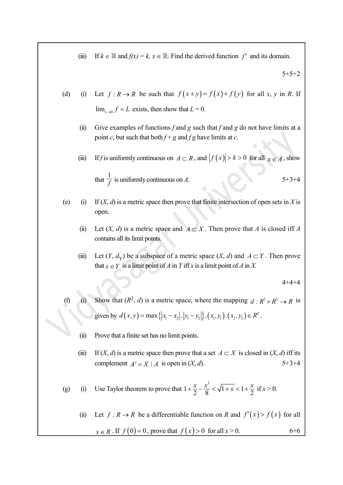(iii) If  $k \in \mathbb{R}$  and  $f(x) = k$ ,  $x \in \mathbb{R}$ . Find the derived function f' and its domain.

 $5+5+2$ 

- (d) (i) Let  $f : R \to R$  be such that  $f(x+y) = f(x)+f(y)$  for all x, y in R. If  $\lim_{x\to 0} f = L$  exists, then show that  $L = 0$ .
	- (ii) Give examples of functions f and g such that f and g do not have limits at a point c, but such that both  $f + g$  and  $fg$  have limits at c.
	- (iii) If f is uniformly continuous on  $A \subset R$ , and  $|f(x)| > k > 0$  for all  $x \in A$ , show

that  $\frac{1}{f}$  is uniformly continuous on A. 5+3+4

- (e) (i) If  $(X, d)$  is a metric space then prove that finite intersection of open sets in X is open.
	- (ii) Let  $(X, d)$  is a metric space and  $A \subset X$ . Then prove that A is closed iff A contains all its limit points.
	- (iii) Let  $(Y, d_Y)$  be a subspace of a metric space  $(X, d)$  and  $A \subset Y$ . Then prove that  $x \in Y$  is a limit point of A in Y iff x is a limit point of A in X.

 $4 + 4 + 4$ 

- (f) (i) Show that  $(R^2, d)$  is a metric space, where the mapping  $d : R^2 \times R^2 \to R$  is given by  $d(x,y) = \max\{|x_1 - x_2|, |y_1 - y_2|\}, (x_1, y_1), (x_2, y_2) \in R^2$ .
	- (ii) Prove that a finite set has no limit points.
	- (iii) If  $(X, d)$  is a metric space then prove that a set  $A \subset X$  is closed in  $(X, d)$  iff its complement  $A' = X \mid A$  is open in  $(X, d)$ . 5+3+4

(g) (i) Use Taylor theorem to prove that 
$$
1 + \frac{x}{2} - \frac{x^3}{8} < \sqrt{1 + x} < 1 + \frac{x}{2}
$$
 if  $x > 0$ .

(ii) Let  $f : R \to R$  be a differentiable function on R and  $f'(x) > f(x)$  for all  $x \in R$ . If  $f(0) = 0$ , prove that  $f(x) > 0$  for all  $x > 0$ . 6+6